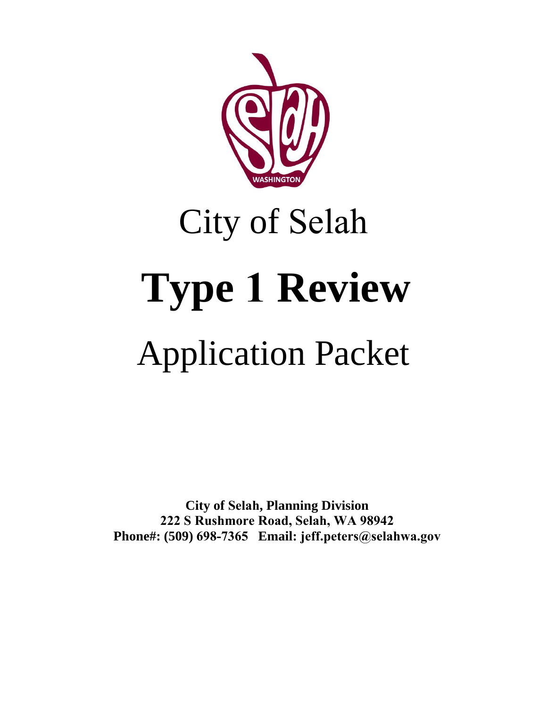

# City of Selah **Type 1 Review**

## Application Packet

**City of Selah, Planning Division 222 S Rushmore Road, Selah, WA 98942 Phone#: (509) 698-7365 Email: jeff.peters@selahwa.gov**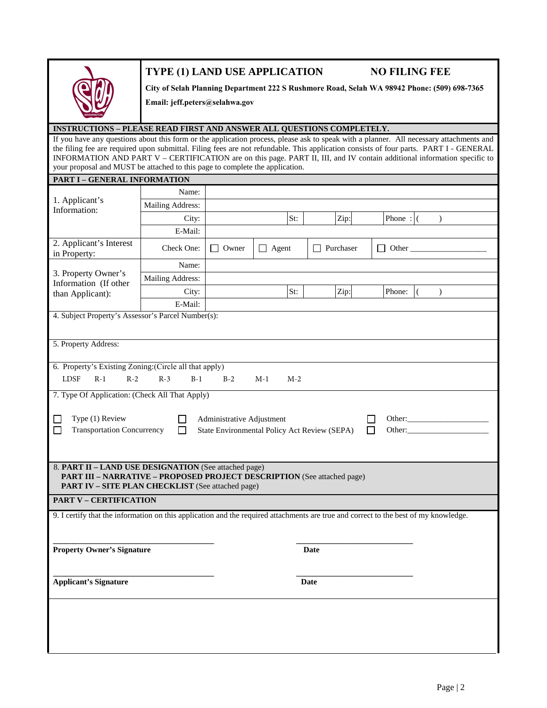## **TYPE (1) LAND USE APPLICATION NO FILING FEE**

**City of Selah Planning Department 222 S Rushmore Road, Selah WA 98942 Phone: (509) 698-7365** 

**Email: jeff.peters@selahwa.gov**

### **INSTRUCTIONS – PLEASE READ FIRST AND ANSWER ALL QUESTIONS COMPLETELY.**

If you have any questions about this form or the application process, please ask to speak with a planner. All necessary attachments and the filing fee are required upon submittal. Filing fees are not refundable. This application consists of four parts. PART I - GENERAL INFORMATION AND PART V – CERTIFICATION are on this page. PART II, III, and IV contain additional information specific to your proposal and MUST be attached to this page to complete the application.

|                                                                                                                                                                                              | PART I - GENERAL INFORMATION |              |                |             |                     |               |  |
|----------------------------------------------------------------------------------------------------------------------------------------------------------------------------------------------|------------------------------|--------------|----------------|-------------|---------------------|---------------|--|
| 1. Applicant's<br>Information:                                                                                                                                                               | Name:                        |              |                |             |                     |               |  |
|                                                                                                                                                                                              | Mailing Address:             |              |                |             |                     |               |  |
|                                                                                                                                                                                              | City:                        |              | St:            | Zip:        | Phone: $ $ (        | $\lambda$     |  |
|                                                                                                                                                                                              | E-Mail:                      |              |                |             |                     |               |  |
| 2. Applicant's Interest<br>in Property:                                                                                                                                                      | Check One:                   | $\Box$ Owner | $\Box$ Agent   | Purchaser   | $\Box$ Other $\Box$ |               |  |
|                                                                                                                                                                                              | Name:                        |              |                |             |                     |               |  |
| 3. Property Owner's<br>Information (If other                                                                                                                                                 | Mailing Address:             |              |                |             |                     |               |  |
| than Applicant):                                                                                                                                                                             | City:                        |              | St:            | Zip:        | Phone:              | $\mathcal{L}$ |  |
|                                                                                                                                                                                              | E-Mail:                      |              |                |             |                     |               |  |
| 4. Subject Property's Assessor's Parcel Number(s):                                                                                                                                           |                              |              |                |             |                     |               |  |
|                                                                                                                                                                                              |                              |              |                |             |                     |               |  |
| 5. Property Address:                                                                                                                                                                         |                              |              |                |             |                     |               |  |
|                                                                                                                                                                                              |                              |              |                |             |                     |               |  |
| 6. Property's Existing Zoning: (Circle all that apply)                                                                                                                                       |                              |              |                |             |                     |               |  |
| <b>LDSF</b><br>$R-1$<br>$R-2$                                                                                                                                                                | $R-3$<br>$B-1$               | $B-2$        | $M-1$<br>$M-2$ |             |                     |               |  |
| 7. Type Of Application: (Check All That Apply)                                                                                                                                               |                              |              |                |             |                     |               |  |
| Type (1) Review<br>Administrative Adjustment<br>Other:<br><b>Transportation Concurrency</b><br>State Environmental Policy Act Review (SEPA)<br>П<br>Other:                                   |                              |              |                |             |                     |               |  |
| 8. PART II - LAND USE DESIGNATION (See attached page)<br>PART III - NARRATIVE - PROPOSED PROJECT DESCRIPTION (See attached page)<br><b>PART IV - SITE PLAN CHECKLIST</b> (See attached page) |                              |              |                |             |                     |               |  |
| <b>PART V - CERTIFICATION</b>                                                                                                                                                                |                              |              |                |             |                     |               |  |
| 9. I certify that the information on this application and the required attachments are true and correct to the best of my knowledge.                                                         |                              |              |                |             |                     |               |  |
|                                                                                                                                                                                              |                              |              |                |             |                     |               |  |
|                                                                                                                                                                                              |                              |              |                |             |                     |               |  |
| <b>Property Owner's Signature</b>                                                                                                                                                            |                              |              |                | <b>Date</b> |                     |               |  |
|                                                                                                                                                                                              |                              |              |                |             |                     |               |  |
| <b>Applicant's Signature</b>                                                                                                                                                                 |                              |              |                | <b>Date</b> |                     |               |  |
|                                                                                                                                                                                              |                              |              |                |             |                     |               |  |
|                                                                                                                                                                                              |                              |              |                |             |                     |               |  |
|                                                                                                                                                                                              |                              |              |                |             |                     |               |  |
|                                                                                                                                                                                              |                              |              |                |             |                     |               |  |
|                                                                                                                                                                                              |                              |              |                |             |                     |               |  |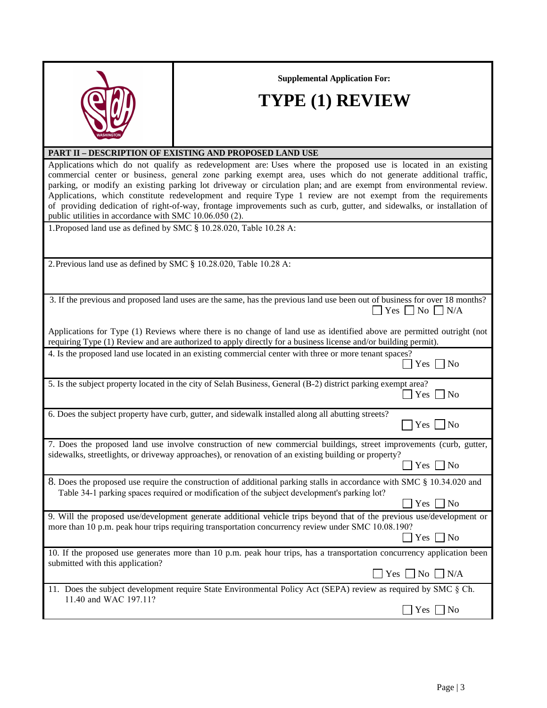**Supplemental Application For:**



## **TYPE (1) REVIEW**

## **PART II – DESCRIPTION OF EXISTING AND PROPOSED LAND USE**

Applications which do not qualify as redevelopment are: Uses where the proposed use is located in an existing commercial center or business, general zone parking exempt area, uses which do not generate additional traffic, parking, or modify an existing parking lot driveway or circulation plan; and are exempt from environmental review. Applications, which constitute redevelopment and require Type 1 review are not exempt from the requirements of providing dedication of right-of-way, frontage improvements such as curb, gutter, and sidewalks, or installation of public utilities in accordance with SMC 10.06.050 (2).

1.Proposed land use as defined by SMC § 10.28.020, Table 10.28 A:

2.Previous land use as defined by SMC § 10.28.020, Table 10.28 A:

| 3. If the previous and proposed land uses are the same, has the previous land use been out of business for over 18 months?<br>$\Box$ Yes $\Box$ No $\Box$ N/A                                                                            |
|------------------------------------------------------------------------------------------------------------------------------------------------------------------------------------------------------------------------------------------|
| Applications for Type (1) Reviews where there is no change of land use as identified above are permitted outright (not<br>requiring Type (1) Review and are authorized to apply directly for a business license and/or building permit). |
| 4. Is the proposed land use located in an existing commercial center with three or more tenant spaces?                                                                                                                                   |

| 5. Is the subject property located in the city of Selah Business, General (B-2) district parking exempt area?<br>$\Box$ Yes $\Box$ No |  |
|---------------------------------------------------------------------------------------------------------------------------------------|--|
|                                                                                                                                       |  |

| 6. Does the subject property have curb, gutter, and sidewalk installed along all abutting streets?                                                                                                                         |                      |
|----------------------------------------------------------------------------------------------------------------------------------------------------------------------------------------------------------------------------|----------------------|
|                                                                                                                                                                                                                            | $\Box$ Yes $\Box$ No |
| 7. Does the proposed land use involve construction of new commercial buildings, street improvements (curb, gutter,<br>sidewalks, streetlights, or driveway approaches), or renovation of an existing building or property? |                      |
|                                                                                                                                                                                                                            | $\Box$ Yes $\Box$ No |
| 8. Does the proposed use require the construction of additional parking stalls in accordance with SMC § 10.34.020 and<br>Table 34-1 parking spaces required or modification of the subject development's parking lot?      |                      |
|                                                                                                                                                                                                                            | $\Box$ Yes $\Box$ No |
| 0. Will the numerously use development concursts additional vehicle twins here and that of the numious yes development on                                                                                                  |                      |

| 9. Will the proposed use/development generate additional vehicle trips beyond that of the previous use/development or<br>more than 10 p.m. peak hour trips requiring transportation concurrency review under SMC 10.08.190? |
|-----------------------------------------------------------------------------------------------------------------------------------------------------------------------------------------------------------------------------|
| $\vert$ Yes $\vert$ No                                                                                                                                                                                                      |
| 10. If the proposed use generates more than 10 p.m. peak hour trips, has a transportation concurrency application been<br>submitted with this application?                                                                  |
| $\Box$ Yes $\Box$ No $\Box$ N/A                                                                                                                                                                                             |
| 11. Does the subject development require State Environmental Policy Act (SEPA) review as required by SMC $\S$ Ch.                                                                                                           |
| 11.40 and WAC 197.11?                                                                                                                                                                                                       |

 $\Box$  Yes  $\Box$  No

 $\Box$  Yes  $\Box$  No